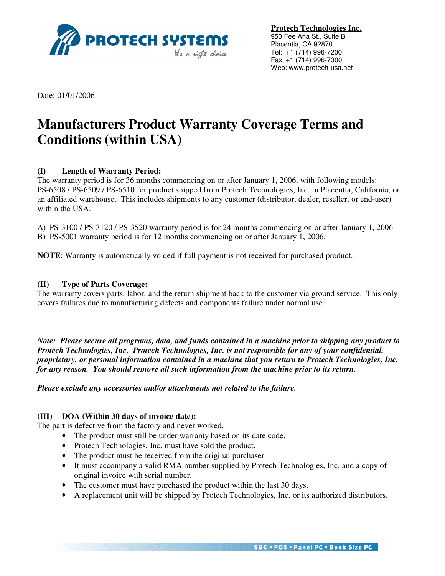

**Protech Technologies Inc.** 950 Fee Ana St., Suite B Placentia, CA 92870 Tel: +1 (714) 996-7200 Fax: +1 (714) 996-7300 Web: www.protech-usa.net

Date: 01/01/2006

# **Manufacturers Product Warranty Coverage Terms and Conditions (within USA)**

## **(I) Length of Warranty Period:**

The warranty period is for 36 months commencing on or after January 1, 2006, with following models: PS-6508 / PS-6509 / PS-6510 for product shipped from Protech Technologies, Inc. in Placentia, California, or an affiliated warehouse. This includes shipments to any customer (distributor, dealer, reseller, or end-user) within the USA.

A) PS-3100 / PS-3120 / PS-3520 warranty period is for 24 months commencing on or after January 1, 2006.

B) PS-5001 warranty period is for 12 months commencing on or after January 1, 2006.

**NOTE**: Warranty is automatically voided if full payment is not received for purchased product.

#### **(II) Type of Parts Coverage:**

The warranty covers parts, labor, and the return shipment back to the customer via ground service. This only covers failures due to manufacturing defects and components failure under normal use.

*Note: Please secure all programs, data, and funds contained in a machine prior to shipping any product to Protech Technologies, Inc. Protech Technologies, Inc. is not responsible for any of your confidential, proprietary, or personal information contained in a machine that you return to Protech Technologies, Inc. for any reason. You should remove all such information from the machine prior to its return.* 

*Please exclude any accessories and/or attachments not related to the failure.*

## **(III) DOA (Within 30 days of invoice date):**

The part is defective from the factory and never worked.

- The product must still be under warranty based on its date code.
- Protech Technologies, Inc. must have sold the product.
- The product must be received from the original purchaser.
- It must accompany a valid RMA number supplied by Protech Technologies, Inc. and a copy of original invoice with serial number.
- The customer must have purchased the product within the last 30 days.
- A replacement unit will be shipped by Protech Technologies, Inc. or its authorized distributors.